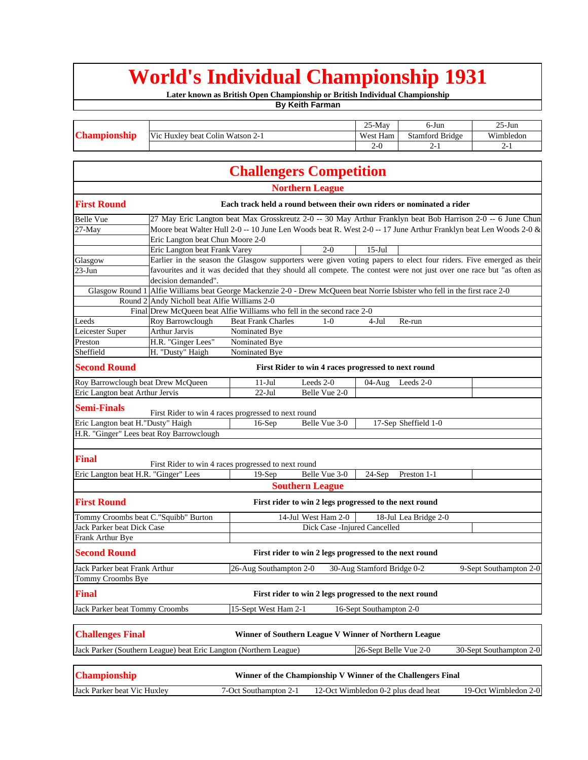## **World's Individual Championship 1931**

**Later known as British Open Championship or British Individual Championship**

**By Keith Farman**

|                                              | $25-Mav$    | 6-Jun                | $25 - Jun$ |
|----------------------------------------------|-------------|----------------------|------------|
| Vic.<br>: Huxlev beat Colin Watson :<br>$2-$ | West Ham    | ' Bridge<br>Stamford | Wimbledon  |
|                                              | ' "–<br>. . | $\mathcal{L}^-$      | -          |

|                                      |                                                                   | <b>Challengers Competition</b>                                                                                              |                              |                            |                       |                         |  |
|--------------------------------------|-------------------------------------------------------------------|-----------------------------------------------------------------------------------------------------------------------------|------------------------------|----------------------------|-----------------------|-------------------------|--|
|                                      |                                                                   |                                                                                                                             | <b>Northern League</b>       |                            |                       |                         |  |
| <b>First Round</b>                   |                                                                   | Each track held a round between their own riders or nominated a rider                                                       |                              |                            |                       |                         |  |
| <b>Belle Vue</b>                     |                                                                   | 27 May Eric Langton beat Max Grosskreutz 2-0 -- 30 May Arthur Franklyn beat Bob Harrison 2-0 -- 6 June Chun                 |                              |                            |                       |                         |  |
| $27-May$                             |                                                                   | Moore beat Walter Hull 2-0 -- 10 June Len Woods beat R. West 2-0 -- 17 June Arthur Franklyn beat Len Woods 2-0 &            |                              |                            |                       |                         |  |
|                                      | Eric Langton beat Chun Moore 2-0                                  |                                                                                                                             |                              |                            |                       |                         |  |
|                                      | Eric Langton beat Frank Varey                                     |                                                                                                                             | $2 - 0$                      | $15-Jul$                   |                       |                         |  |
| Glasgow                              |                                                                   | Earlier in the season the Glasgow supporters were given voting papers to elect four riders. Five emerged as their           |                              |                            |                       |                         |  |
| $23$ -Jun                            |                                                                   | favourites and it was decided that they should all compete. The contest were not just over one race but "as often as        |                              |                            |                       |                         |  |
|                                      | decision demanded".                                               |                                                                                                                             |                              |                            |                       |                         |  |
|                                      |                                                                   | Glasgow Round 1 Alfie Williams beat George Mackenzie 2-0 - Drew McQueen beat Norrie Isbister who fell in the first race 2-0 |                              |                            |                       |                         |  |
|                                      | Round 2 Andy Nicholl beat Alfie Williams 2-0                      |                                                                                                                             |                              |                            |                       |                         |  |
|                                      |                                                                   | Final Drew McQueen beat Alfie Williams who fell in the second race 2-0                                                      |                              |                            |                       |                         |  |
| Leeds                                | Roy Barrowclough                                                  | <b>Beat Frank Charles</b>                                                                                                   | $1-0$                        | $4-Jul$                    | Re-run                |                         |  |
| Leicester Super                      | Arthur Jarvis                                                     | Nominated Bye                                                                                                               |                              |                            |                       |                         |  |
| Preston                              | H.R. "Ginger Lees"                                                | Nominated Bye                                                                                                               |                              |                            |                       |                         |  |
| Sheffield                            | H. "Dusty" Haigh                                                  | Nominated Bye                                                                                                               |                              |                            |                       |                         |  |
| <b>Second Round</b>                  |                                                                   | First Rider to win 4 races progressed to next round                                                                         |                              |                            |                       |                         |  |
| Roy Barrowclough beat Drew McQueen   |                                                                   | $11-Jul$                                                                                                                    | Leeds 2-0                    | 04-Aug                     | Leeds 2-0             |                         |  |
| Eric Langton beat Arthur Jervis      |                                                                   | $22$ -Jul                                                                                                                   | Belle Vue 2-0                |                            |                       |                         |  |
| <b>Semi-Finals</b>                   |                                                                   | First Rider to win 4 races progressed to next round                                                                         |                              |                            |                       |                         |  |
| Eric Langton beat H."Dusty" Haigh    |                                                                   | $16-Sep$                                                                                                                    | Belle Vue 3-0                |                            | 17-Sep Sheffield 1-0  |                         |  |
|                                      | H.R. "Ginger" Lees beat Roy Barrowclough                          |                                                                                                                             |                              |                            |                       |                         |  |
|                                      |                                                                   |                                                                                                                             |                              |                            |                       |                         |  |
| <b>Final</b>                         |                                                                   | First Rider to win 4 races progressed to next round                                                                         |                              |                            |                       |                         |  |
| Eric Langton beat H.R. "Ginger" Lees |                                                                   | $19-Sep$                                                                                                                    | Belle Vue 3-0                | $24-Sep$                   | Preston 1-1           |                         |  |
|                                      |                                                                   |                                                                                                                             | <b>Southern League</b>       |                            |                       |                         |  |
| <b>First Round</b>                   |                                                                   | First rider to win 2 legs progressed to the next round                                                                      |                              |                            |                       |                         |  |
| Tommy Croombs beat C."Squibb" Burton |                                                                   |                                                                                                                             | 14-Jul West Ham 2-0          |                            | 18-Jul Lea Bridge 2-0 |                         |  |
| Jack Parker beat Dick Case           |                                                                   |                                                                                                                             | Dick Case -Injured Cancelled |                            |                       |                         |  |
| Frank Arthur Bye                     |                                                                   |                                                                                                                             |                              |                            |                       |                         |  |
|                                      |                                                                   |                                                                                                                             |                              |                            |                       |                         |  |
| <b>Second Round</b>                  |                                                                   | First rider to win 2 legs progressed to the next round                                                                      |                              |                            |                       |                         |  |
| Jack Parker beat Frank Arthur        |                                                                   | 26-Aug Southampton 2-0                                                                                                      |                              | 30-Aug Stamford Bridge 0-2 |                       | 9-Sept Southampton 2-0  |  |
| Tommy Croombs Bye                    |                                                                   |                                                                                                                             |                              |                            |                       |                         |  |
| <b>Final</b>                         |                                                                   | First rider to win 2 legs progressed to the next round                                                                      |                              |                            |                       |                         |  |
| Jack Parker beat Tommy Croombs       |                                                                   | 15-Sept West Ham 2-1                                                                                                        |                              | 16-Sept Southampton 2-0    |                       |                         |  |
| <b>Challenges Final</b>              |                                                                   | Winner of Southern League V Winner of Northern League                                                                       |                              |                            |                       |                         |  |
|                                      | Jack Parker (Southern League) beat Eric Langton (Northern League) |                                                                                                                             |                              | 26-Sept Belle Vue 2-0      |                       | 30-Sept Southampton 2-0 |  |
|                                      |                                                                   |                                                                                                                             |                              |                            |                       |                         |  |
| <b>Championship</b>                  |                                                                   | Winner of the Championship V Winner of the Challengers Final                                                                |                              |                            |                       |                         |  |

Jack Parker beat Vic Huxley 7-Oct Southampton 2-1 12-Oct Wimbledon 0-2 plus dead heat 19-Oct Wimbledon 2-0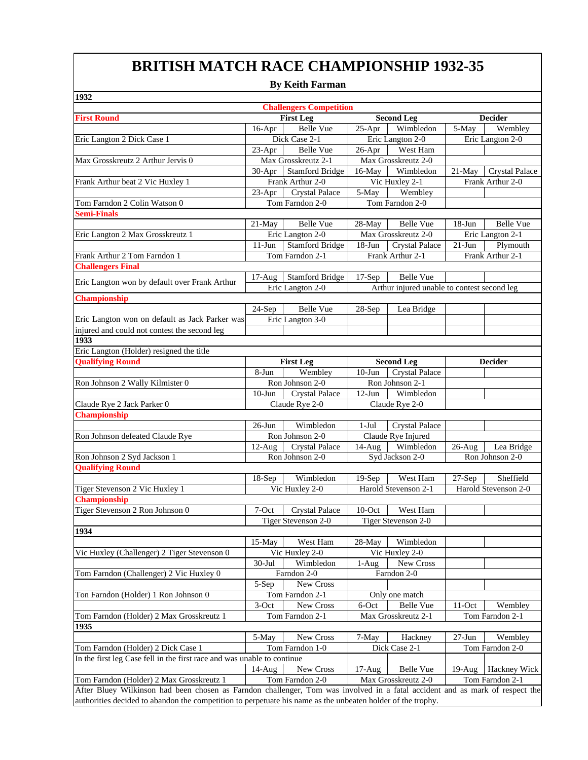## **BRITISH MATCH RACE CHAMPIONSHIP 1932-35**

## **By Keith Farman**

| 1932                                                                                                                         |                                                         |                                |           |                                             |            |                       |  |  |  |
|------------------------------------------------------------------------------------------------------------------------------|---------------------------------------------------------|--------------------------------|-----------|---------------------------------------------|------------|-----------------------|--|--|--|
|                                                                                                                              |                                                         | <b>Challengers Competition</b> |           |                                             |            |                       |  |  |  |
| <b>First Round</b>                                                                                                           | <b>First Leg</b><br><b>Second Leg</b><br><b>Decider</b> |                                |           |                                             |            |                       |  |  |  |
|                                                                                                                              | $16$ -Apr                                               | <b>Belle Vue</b>               | $25-Apr$  | Wimbledon                                   | 5-May      | Wembley               |  |  |  |
| Eric Langton 2 Dick Case 1                                                                                                   |                                                         | Dick Case 2-1                  |           | Eric Langton 2-0                            |            | Eric Langton 2-0      |  |  |  |
|                                                                                                                              | $23-Apr$                                                | <b>Belle Vue</b>               | $26$ -Apr | West Ham                                    |            |                       |  |  |  |
| Max Grosskreutz 2 Arthur Jervis 0                                                                                            |                                                         | Max Grosskreutz 2-1            |           | Max Grosskreutz 2-0                         |            |                       |  |  |  |
|                                                                                                                              |                                                         | 30-Apr   Stamford Bridge       | $16$ -May | Wimbledon                                   | 21-May     | <b>Crystal Palace</b> |  |  |  |
| Frank Arthur beat 2 Vic Huxley 1                                                                                             |                                                         | Frank Arthur 2-0               |           | Vic Huxley 2-1                              |            | Frank Arthur 2-0      |  |  |  |
|                                                                                                                              | $23$ -Apr                                               | <b>Crystal Palace</b>          | 5-May     | Wembley                                     |            |                       |  |  |  |
| Tom Farndon 2 Colin Watson 0                                                                                                 |                                                         | Tom Farndon 2-0                |           | Tom Farndon 2-0                             |            |                       |  |  |  |
| <b>Semi-Finals</b>                                                                                                           |                                                         |                                |           |                                             |            |                       |  |  |  |
|                                                                                                                              | $21$ -May                                               | <b>Belle Vue</b>               | 28-May    | <b>Belle Vue</b>                            | $18 - Jun$ | <b>Belle Vue</b>      |  |  |  |
| Eric Langton 2 Max Grosskreutz 1                                                                                             |                                                         | Eric Langton 2-0               |           | Max Grosskreutz 2-0                         |            | Eric Langton 2-1      |  |  |  |
|                                                                                                                              | $11-J$ un                                               | <b>Stamford Bridge</b>         | $18-Jun$  | <b>Crystal Palace</b>                       | $21-Jun$   | Plymouth              |  |  |  |
| Frank Arthur 2 Tom Farndon 1                                                                                                 |                                                         | Tom Farndon 2-1                |           | Frank Arthur 2-1                            |            | Frank Arthur 2-1      |  |  |  |
| <b>Challengers Final</b>                                                                                                     |                                                         |                                |           |                                             |            |                       |  |  |  |
|                                                                                                                              | $17-Aug$                                                | <b>Stamford Bridge</b>         | $17-Sep$  | <b>Belle Vue</b>                            |            |                       |  |  |  |
| Eric Langton won by default over Frank Arthur                                                                                |                                                         | Eric Langton 2-0               |           | Arthur injured unable to contest second leg |            |                       |  |  |  |
| Championship                                                                                                                 |                                                         |                                |           |                                             |            |                       |  |  |  |
|                                                                                                                              | $24-Sep$                                                | Belle Vue                      | $28-Sep$  | Lea Bridge                                  |            |                       |  |  |  |
| Eric Langton won on default as Jack Parker was                                                                               |                                                         | Eric Langton 3-0               |           |                                             |            |                       |  |  |  |
| injured and could not contest the second leg                                                                                 |                                                         |                                |           |                                             |            |                       |  |  |  |
| $\overline{1933}$                                                                                                            |                                                         |                                |           |                                             |            |                       |  |  |  |
| Eric Langton (Holder) resigned the title                                                                                     |                                                         |                                |           |                                             |            |                       |  |  |  |
| <b>Qualifying Round</b>                                                                                                      |                                                         | <b>First Leg</b>               |           | <b>Second Leg</b>                           |            | <b>Decider</b>        |  |  |  |
|                                                                                                                              | 8-Jun                                                   | Wembley                        | $10-J$ un | <b>Crystal Palace</b>                       |            |                       |  |  |  |
| Ron Johnson 2 Wally Kilmister 0                                                                                              |                                                         | Ron Johnson 2-0                |           | Ron Johnson 2-1                             |            |                       |  |  |  |
|                                                                                                                              | $10-J$ un                                               | <b>Crystal Palace</b>          | $12-Jun$  | Wimbledon                                   |            |                       |  |  |  |
| Claude Rye 2 Jack Parker 0                                                                                                   |                                                         | Claude Rye 2-0                 |           | Claude Rye 2-0                              |            |                       |  |  |  |
| <b>Championship</b>                                                                                                          |                                                         |                                |           |                                             |            |                       |  |  |  |
|                                                                                                                              | $26$ -Jun                                               | Wimbledon                      | $1-Ju1$   | <b>Crystal Palace</b>                       |            |                       |  |  |  |
| Ron Johnson defeated Claude Rye                                                                                              |                                                         | Ron Johnson 2-0                |           | Claude Rye Injured                          |            |                       |  |  |  |
|                                                                                                                              | $12-Aug$                                                | <b>Crystal Palace</b>          | $14-Aug$  | Wimbledon                                   | $26$ -Aug  | Lea Bridge            |  |  |  |
| Ron Johnson 2 Syd Jackson 1                                                                                                  |                                                         | Ron Johnson 2-0                |           | Syd Jackson 2-0                             |            | Ron Johnson 2-0       |  |  |  |
| <b>Qualifying Round</b>                                                                                                      |                                                         |                                |           |                                             |            |                       |  |  |  |
|                                                                                                                              | $18-Sep$                                                | Wimbledon                      | $19-Sep$  | West Ham                                    | $27-Sep$   | Sheffield             |  |  |  |
| Tiger Stevenson 2 Vic Huxley 1                                                                                               |                                                         | Vic Huxley 2-0                 |           | Harold Stevenson 2-1                        |            | Harold Stevenson 2-0  |  |  |  |
| Championship                                                                                                                 |                                                         |                                |           |                                             |            |                       |  |  |  |
| Tiger Stevenson 2 Ron Johnson 0                                                                                              | 7-Oct                                                   | <b>Crystal Palace</b>          | $10$ -Oct | West Ham                                    |            |                       |  |  |  |
|                                                                                                                              |                                                         | Tiger Stevenson 2-0            |           | Tiger Stevenson 2-0                         |            |                       |  |  |  |
| 1934                                                                                                                         |                                                         |                                |           |                                             |            |                       |  |  |  |
|                                                                                                                              | $15-May$                                                | West Ham                       | $28-May$  | Wimbledon                                   |            |                       |  |  |  |
| Vic Huxley (Challenger) 2 Tiger Stevenson 0                                                                                  |                                                         | Vic Huxley 2-0                 |           | Vic Huxley 2-0                              |            |                       |  |  |  |
|                                                                                                                              | $30-Jul$                                                | Wimbledon                      | $1-Aug$   | New Cross                                   |            |                       |  |  |  |
| Tom Farndon (Challenger) 2 Vic Huxley 0                                                                                      |                                                         | Farndon 2-0                    |           | Farndon 2-0                                 |            |                       |  |  |  |
|                                                                                                                              | 5-Sep                                                   |                                |           |                                             |            |                       |  |  |  |
|                                                                                                                              |                                                         | New Cross                      |           |                                             |            |                       |  |  |  |
| Ton Farndon (Holder) 1 Ron Johnson 0                                                                                         |                                                         | Tom Farndon 2-1                |           | Only one match                              |            |                       |  |  |  |
|                                                                                                                              | 3-Oct                                                   | New Cross                      | 6-Oct     | <b>Belle Vue</b>                            | $11-Oct$   | Wembley               |  |  |  |
| Tom Farndon (Holder) 2 Max Grosskreutz 1                                                                                     |                                                         | Tom Farndon 2-1                |           | Max Grosskreutz 2-1                         |            | Tom Farndon 2-1       |  |  |  |
| 1935                                                                                                                         |                                                         |                                |           |                                             |            |                       |  |  |  |
|                                                                                                                              | 5-May                                                   | New Cross                      | 7-May     | Hackney                                     | $27-Jun$   | Wembley               |  |  |  |
| Tom Farndon (Holder) 2 Dick Case 1                                                                                           |                                                         | Tom Farndon 1-0                |           | Dick Case 2-1                               |            | Tom Farndon 2-0       |  |  |  |
| In the first leg Case fell in the first race and was unable to continue                                                      |                                                         |                                |           |                                             |            |                       |  |  |  |
|                                                                                                                              | $14$ -Aug                                               | New Cross                      | $17-Aug$  | Belle Vue                                   | $19-Aug$   | Hackney Wick          |  |  |  |
| Tom Farndon (Holder) 2 Max Grosskreutz 1                                                                                     |                                                         | Tom Farndon 2-0                |           | Max Grosskreutz 2-0                         |            | Tom Farndon 2-1       |  |  |  |
| After Bluey Wilkinson had been chosen as Farndon challenger, Tom was involved in a fatal accident and as mark of respect the |                                                         |                                |           |                                             |            |                       |  |  |  |
| authorities decided to abandon the competition to perpetuate his name as the unbeaten holder of the trophy.                  |                                                         |                                |           |                                             |            |                       |  |  |  |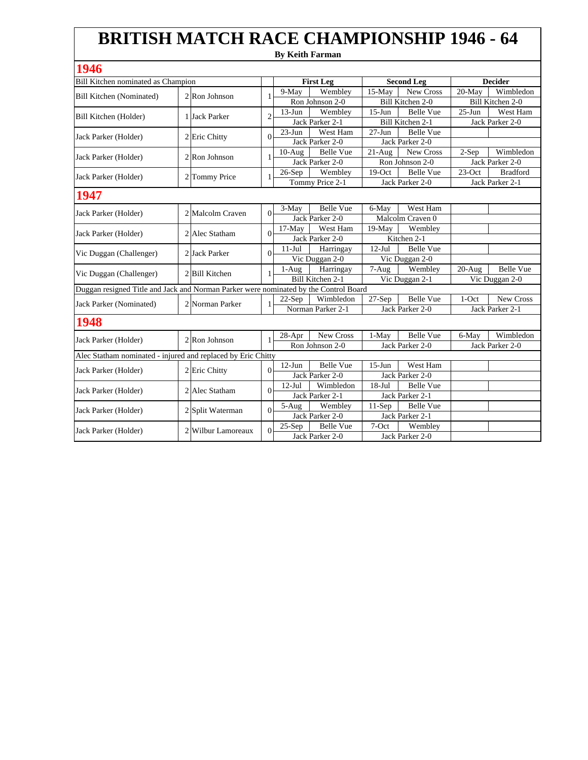## **By Keith Farman BRITISH MATCH RACE CHAMPIONSHIP 1946 - 64**

| 1946                                                                                 |  |                             |                |                 |                   |                      |                   |                 |                  |
|--------------------------------------------------------------------------------------|--|-----------------------------|----------------|-----------------|-------------------|----------------------|-------------------|-----------------|------------------|
| Bill Kitchen nominated as Champion                                                   |  |                             |                |                 | <b>First Leg</b>  |                      | <b>Second Leg</b> |                 | <b>Decider</b>   |
| <b>Bill Kitchen</b> (Nominated)                                                      |  | $2$ <sub>R</sub> on Johnson |                | 9-May           | Wembley           | $15-Mav$             | New Cross         | 20-May          | Wimbledon        |
|                                                                                      |  |                             | 1              |                 | Ron Johnson 2-0   |                      | Bill Kitchen 2-0  |                 | Bill Kitchen 2-0 |
| Bill Kitchen (Holder)                                                                |  | 1 Jack Parker               | $\overline{c}$ | $13-Jun$        | Wembley           | $15-Jun$             | <b>Belle Vue</b>  | $25 - Jun$      | West Ham         |
|                                                                                      |  |                             |                |                 | Jack Parker 2-1   |                      | Bill Kitchen 2-1  |                 | Jack Parker 2-0  |
| Jack Parker (Holder)                                                                 |  | 2 Eric Chitty               | $\Omega$       | $23-Jun$        | West Ham          | $27 - Jun$           | <b>Belle Vue</b>  |                 |                  |
|                                                                                      |  |                             |                |                 | Jack Parker 2-0   |                      | Jack Parker 2-0   |                 |                  |
| Jack Parker (Holder)                                                                 |  | 2 Ron Johnson               | 1              | $10-Au$ g       | <b>Belle Vue</b>  | $\overline{21}$ -Aug | New Cross         | $2-Sep$         | Wimbledon        |
|                                                                                      |  |                             |                |                 | Jack Parker 2-0   |                      | Ron Johnson 2-0   |                 | Jack Parker 2-0  |
| Jack Parker (Holder)                                                                 |  | 2 Tommy Price               | 1              | $26-Sep$        | Wembley           | $19-Oct$             | <b>Belle Vue</b>  | $23-Oct$        | <b>Bradford</b>  |
|                                                                                      |  |                             |                |                 | Tommy Price 2-1   |                      | Jack Parker 2-0   |                 | Jack Parker 2-1  |
| 1947                                                                                 |  |                             |                |                 |                   |                      |                   |                 |                  |
|                                                                                      |  |                             |                | $3-May$         | Belle Vue         | 6-May                | West Ham          |                 |                  |
| Jack Parker (Holder)                                                                 |  | 2 Malcolm Craven            | $\Omega$       | Jack Parker 2-0 |                   | Malcolm Craven 0     |                   |                 |                  |
|                                                                                      |  | 2 Alec Statham              |                | $17-Mav$        | West Ham          | 19-May               | Wembley           |                 |                  |
| Jack Parker (Holder)                                                                 |  |                             | $\Omega$       |                 | Jack Parker 2-0   |                      | Kitchen 2-1       |                 |                  |
|                                                                                      |  | 2 Jack Parker               | $\Omega$       | $11-Jul$        | Harringay         | $12-Jul$             | <b>Belle Vue</b>  |                 |                  |
| Vic Duggan (Challenger)                                                              |  |                             |                |                 | Vic Duggan 2-0    |                      | Vic Duggan 2-0    |                 |                  |
| Vic Duggan (Challenger)                                                              |  | 2 Bill Kitchen              | 1              | $1-Aug$         | Harringay         | $7-Aug$              | Wembley           | $20-Aug$        | <b>Belle Vue</b> |
|                                                                                      |  |                             |                |                 | Bill Kitchen 2-1  | Vic Duggan 2-1       |                   |                 | Vic Duggan 2-0   |
| Duggan resigned Title and Jack and Norman Parker were nominated by the Control Board |  |                             |                |                 |                   |                      |                   |                 |                  |
| Jack Parker (Nominated)                                                              |  | 2 Norman Parker             |                | $22-Sep$        | Wimbledon         | $27-Sep$             | <b>Belle Vue</b>  | $1-Oct$         | New Cross        |
|                                                                                      |  |                             |                |                 | Norman Parker 2-1 | Jack Parker 2-0      |                   | Jack Parker 2-1 |                  |
| 1948                                                                                 |  |                             |                |                 |                   |                      |                   |                 |                  |
| Jack Parker (Holder)                                                                 |  | 2 Ron Johnson               | 1              | $28-Apr$        | New Cross         | 1-May                | <b>Belle Vue</b>  | 6-May           | Wimbledon        |
|                                                                                      |  |                             |                |                 | Ron Johnson 2-0   |                      | Jack Parker 2-0   |                 | Jack Parker 2-0  |
| Alec Statham nominated - injured and replaced by Eric Chitty                         |  |                             |                |                 |                   |                      |                   |                 |                  |
| Jack Parker (Holder)                                                                 |  | 2 Eric Chitty               | $\Omega$       | $12-Jun$        | <b>Belle Vue</b>  | $15-J$ un            | West Ham          |                 |                  |
|                                                                                      |  |                             |                |                 | Jack Parker 2-0   |                      | Jack Parker 2-0   |                 |                  |
| Jack Parker (Holder)                                                                 |  | 2 Alec Statham              | $\Omega$       | $12-Jul$        | Wimbledon         | $18-Jul$             | <b>Belle Vue</b>  |                 |                  |
|                                                                                      |  |                             |                |                 | Jack Parker 2-1   |                      | Jack Parker 2-1   |                 |                  |
| Jack Parker (Holder)                                                                 |  | 2 Split Waterman            | $\Omega$       | $5-Aug$         | Wembley           | $11-Sep$             | <b>Belle Vue</b>  |                 |                  |
|                                                                                      |  |                             |                |                 | Jack Parker 2-0   |                      | Jack Parker 2-1   |                 |                  |
| Jack Parker (Holder)                                                                 |  | 2 Wilbur Lamoreaux          | $\Omega$       | $25-Sep$        | <b>Belle Vue</b>  | 7-Oct                | Wembley           |                 |                  |
|                                                                                      |  |                             |                |                 | Jack Parker 2-0   |                      | Jack Parker 2-0   |                 |                  |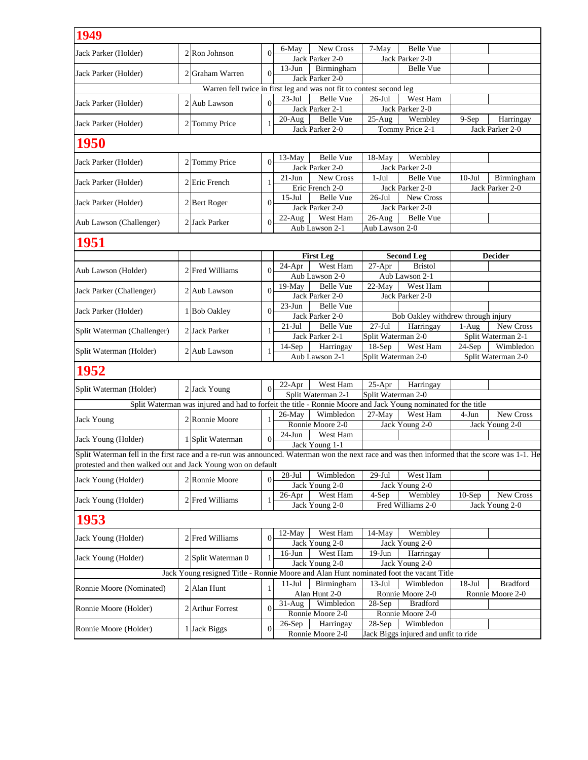| 1949                                                                                                                                          |  |                                                                                                               |                |                      |                                     |                             |                                                 |           |                    |
|-----------------------------------------------------------------------------------------------------------------------------------------------|--|---------------------------------------------------------------------------------------------------------------|----------------|----------------------|-------------------------------------|-----------------------------|-------------------------------------------------|-----------|--------------------|
| Jack Parker (Holder)                                                                                                                          |  | 2 Ron Johnson                                                                                                 | $\Omega$       | 6-May                | New Cross                           | 7-May                       | <b>Belle Vue</b>                                |           |                    |
|                                                                                                                                               |  |                                                                                                               |                |                      | Jack Parker 2-0                     |                             | Jack Parker 2-0                                 |           |                    |
| Jack Parker (Holder)                                                                                                                          |  | 2 Graham Warren                                                                                               | $\Omega$       | $13$ -Jun            | Birmingham                          |                             | <b>Belle Vue</b>                                |           |                    |
|                                                                                                                                               |  | Warren fell twice in first leg and was not fit to contest second leg                                          |                |                      | Jack Parker 2-0                     |                             |                                                 |           |                    |
|                                                                                                                                               |  |                                                                                                               |                | $23-Jul$             | <b>Belle Vue</b>                    | $26$ -Jul                   | West Ham                                        |           |                    |
| Jack Parker (Holder)                                                                                                                          |  | 2 Aub Lawson                                                                                                  | $\overline{0}$ |                      | Jack Parker 2-1                     |                             | Jack Parker 2-0                                 |           |                    |
|                                                                                                                                               |  |                                                                                                               |                | $20-Aug$             | <b>Belle Vue</b>                    | $25-Aug$                    | Wembley                                         | $9-Sep$   | Harringay          |
| Jack Parker (Holder)                                                                                                                          |  | 2 Tommy Price                                                                                                 | 1              |                      | Jack Parker 2-0                     |                             | Tommy Price 2-1                                 |           | Jack Parker 2-0    |
| <b>1950</b>                                                                                                                                   |  |                                                                                                               |                |                      |                                     |                             |                                                 |           |                    |
|                                                                                                                                               |  |                                                                                                               |                | $13-May$             | Belle Vue                           | 18-May                      | Wembley                                         |           |                    |
| Jack Parker (Holder)                                                                                                                          |  | 2 Tommy Price                                                                                                 | $\Omega$       |                      | Jack Parker 2-0                     |                             | Jack Parker 2-0                                 |           |                    |
| Jack Parker (Holder)                                                                                                                          |  | 2 Eric French                                                                                                 | -1             | $21 - Jun$           | New Cross                           | $1-Jul$                     | Belle Vue                                       | $10$ -Jul | Birmingham         |
|                                                                                                                                               |  |                                                                                                               |                |                      | Eric French 2-0                     |                             | Jack Parker 2-0                                 |           | Jack Parker 2-0    |
| Jack Parker (Holder)                                                                                                                          |  | 2 Bert Roger                                                                                                  | $\Omega$       | $15$ -Jul            | <b>Belle Vue</b>                    | $26$ -Jul                   | New Cross                                       |           |                    |
|                                                                                                                                               |  |                                                                                                               |                |                      | Jack Parker 2-0                     |                             | Jack Parker 2-0                                 |           |                    |
| Aub Lawson (Challenger)                                                                                                                       |  | 2 Jack Parker                                                                                                 | $\Omega$       | $22$ -Aug            | West Ham<br>Aub Lawson 2-1          | $26$ -Aug<br>Aub Lawson 2-0 | <b>Belle Vue</b>                                |           |                    |
|                                                                                                                                               |  |                                                                                                               |                |                      |                                     |                             |                                                 |           |                    |
| <b>1951</b>                                                                                                                                   |  |                                                                                                               |                |                      |                                     |                             |                                                 |           |                    |
|                                                                                                                                               |  |                                                                                                               |                |                      | <b>First Leg</b>                    |                             | <b>Second Leg</b>                               |           | <b>Decider</b>     |
| Aub Lawson (Holder)                                                                                                                           |  | 2 Fred Williams                                                                                               | $\overline{0}$ | $\overline{24}$ -Apr | West Ham                            | 27-Apr                      | <b>Bristol</b>                                  |           |                    |
|                                                                                                                                               |  |                                                                                                               |                |                      | Aub Lawson 2-0                      |                             | Aub Lawson 2-1                                  |           |                    |
| Jack Parker (Challenger)                                                                                                                      |  | 2 Aub Lawson                                                                                                  | $\Omega$       | $19-May$             | <b>Belle Vue</b>                    | $22-May$                    | West Ham                                        |           |                    |
|                                                                                                                                               |  |                                                                                                               |                |                      | Jack Parker 2-0                     |                             | Jack Parker 2-0                                 |           |                    |
| Jack Parker (Holder)                                                                                                                          |  | 1 Bob Oakley                                                                                                  | 0              | $23$ -Jun            | <b>Belle Vue</b><br>Jack Parker 2-0 |                             |                                                 |           |                    |
|                                                                                                                                               |  |                                                                                                               |                | $21-Jul$             | <b>Belle Vue</b>                    | $27 - Jul$                  | Bob Oakley withdrew through injury<br>Harringay | $1-Aug$   | New Cross          |
| Split Waterman (Challenger)                                                                                                                   |  | 2 Jack Parker                                                                                                 | 1              |                      | Jack Parker 2-1                     | Split Waterman 2-0          |                                                 |           | Split Waterman 2-1 |
|                                                                                                                                               |  |                                                                                                               |                | $14-Sep$             | Harringay                           | $18-Sep$                    | West Ham                                        | $24-Sep$  | Wimbledon          |
| Split Waterman (Holder)                                                                                                                       |  | 2 Aub Lawson                                                                                                  |                |                      | Aub Lawson 2-1                      | Split Waterman 2-0          |                                                 |           | Split Waterman 2-0 |
| 1952                                                                                                                                          |  |                                                                                                               |                |                      |                                     |                             |                                                 |           |                    |
|                                                                                                                                               |  |                                                                                                               |                | $22-Apr$             | West Ham                            | $25-Apr$                    | Harringay                                       |           |                    |
| Split Waterman (Holder)                                                                                                                       |  | 2 Jack Young                                                                                                  | $\Omega$       |                      | Split Waterman 2-1                  | Split Waterman 2-0          |                                                 |           |                    |
|                                                                                                                                               |  | Split Waterman was injured and had to forfeit the title - Ronnie Moore and Jack Young nominated for the title |                |                      |                                     |                             |                                                 |           |                    |
| <b>Jack Young</b>                                                                                                                             |  | 2 Ronnie Moore                                                                                                |                | $26$ -May            | Wimbledon                           | $27-May$                    | West Ham                                        | 4-Jun     | New Cross          |
|                                                                                                                                               |  |                                                                                                               |                |                      | Ronnie Moore 2-0                    |                             | Jack Young 2-0                                  |           | Jack Young 2-0     |
| Jack Young (Holder)                                                                                                                           |  | 1 Split Waterman                                                                                              | $\Omega$       | $24-Jun$             | West Ham                            |                             |                                                 |           |                    |
|                                                                                                                                               |  |                                                                                                               |                |                      | Jack Young 1-1                      |                             |                                                 |           |                    |
| Split Waterman fell in the first race and a re-run was announced. Waterman won the next race and was then informed that the score was 1-1. He |  |                                                                                                               |                |                      |                                     |                             |                                                 |           |                    |
| protested and then walked out and Jack Young won on default                                                                                   |  |                                                                                                               |                | $28-Jul$             | Wimbledon                           | $29-Jul$                    | West Ham                                        |           |                    |
| Jack Young (Holder)                                                                                                                           |  | 2 Ronnie Moore                                                                                                | $\mathbf{0}$   |                      | Jack Young 2-0                      |                             | Jack Young 2-0                                  |           |                    |
|                                                                                                                                               |  |                                                                                                               |                | $26$ -Apr            | West Ham                            | 4-Sep                       | Wembley                                         | $10-$ Sep | New Cross          |
| Jack Young (Holder)                                                                                                                           |  | 2 Fred Williams                                                                                               | 1              |                      | Jack Young 2-0                      |                             | Fred Williams 2-0                               |           | Jack Young 2-0     |
| 1953                                                                                                                                          |  |                                                                                                               |                |                      |                                     |                             |                                                 |           |                    |
|                                                                                                                                               |  |                                                                                                               |                | 12-May               | West Ham                            | 14-May                      | Wembley                                         |           |                    |
| Jack Young (Holder)                                                                                                                           |  | 2 Fred Williams                                                                                               | $\Omega$       |                      | Jack Young 2-0                      |                             | Jack Young 2-0                                  |           |                    |
| Jack Young (Holder)                                                                                                                           |  | 2 Split Waterman 0                                                                                            | 1              | $16$ -Jun            | West Ham                            | $19-Jun$                    | Harringay<br>Jack Young 2-0                     |           |                    |
|                                                                                                                                               |  | Jack Young resigned Title - Ronnie Moore and Alan Hunt nominated foot the vacant Title                        |                |                      | Jack Young 2-0                      |                             |                                                 |           |                    |
|                                                                                                                                               |  |                                                                                                               |                | $11-Jul$             | Birmingham                          | $13-Jul$                    | Wimbledon                                       | $18-Jul$  | <b>Bradford</b>    |
| Ronnie Moore (Nominated)                                                                                                                      |  | $2$ Alan Hunt                                                                                                 | 1              |                      | Alan Hunt 2-0                       |                             | Ronnie Moore 2-0                                |           | Ronnie Moore 2-0   |
|                                                                                                                                               |  |                                                                                                               |                | $31-Aug$             | Wimbledon                           | $28-Sep$                    | <b>Bradford</b>                                 |           |                    |
| Ronnie Moore (Holder)                                                                                                                         |  | 2 Arthur Forrest                                                                                              | $\Omega$       |                      | Ronnie Moore 2-0                    |                             | Ronnie Moore 2-0                                |           |                    |
|                                                                                                                                               |  |                                                                                                               |                | $26-Sep$             | Harringay                           | $28-Sep$                    | Wimbledon                                       |           |                    |
| Ronnie Moore (Holder)                                                                                                                         |  | 1 Jack Biggs                                                                                                  | $\Omega$       |                      | Ronnie Moore 2-0                    |                             | Jack Biggs injured and unfit to ride            |           |                    |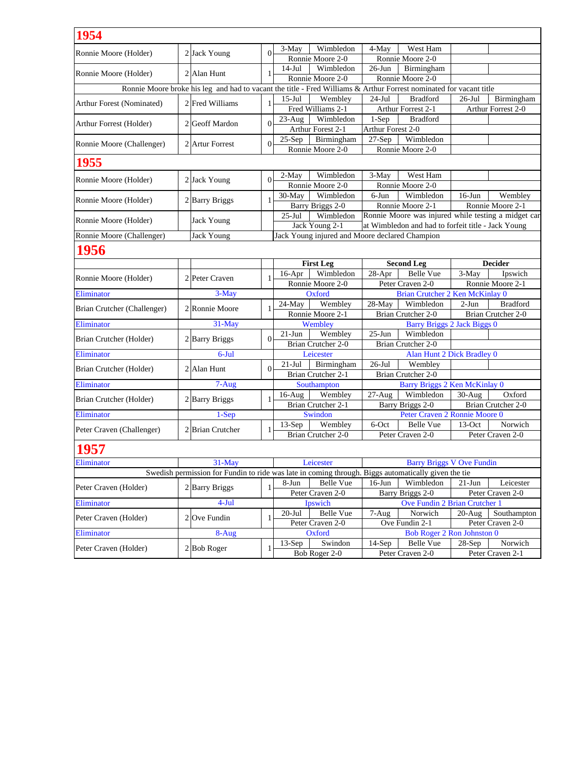| Wimbledon<br>4-May<br>West Ham<br>3-May<br>$\Omega$<br>Ronnie Moore (Holder)<br>2 Jack Young<br>Ronnie Moore 2-0<br>Ronnie Moore 2-0<br>Wimbledon<br>$26$ -Jun<br>Birmingham<br>$14-Jul$<br>2 Alan Hunt<br>Ronnie Moore (Holder)<br>1<br>Ronnie Moore 2-0<br>Ronnie Moore 2-0<br>Ronnie Moore broke his leg and had to vacant the title - Fred Williams & Arthur Forrest nominated for vacant title<br>Birmingham<br>$15$ -Jul<br>Wembley<br>$24$ -Jul<br><b>Bradford</b><br>$26$ -Jul<br>2 Fred Williams<br>1<br>Fred Williams 2-1<br>Arthur Forrest 2-1<br>Arthur Forrest 2-0<br>Wimbledon<br><b>Bradford</b><br>$1-Sep$<br>$23$ -Aug<br>$\Omega$<br>2 Geoff Mardon<br>Arthur Forest 2-1<br>Arthur Forest 2-0<br>Birmingham<br>$27-Sep$<br>Wimbledon<br>$25-Sep$<br>2 Artur Forrest<br>$\Omega$<br>Ronnie Moore 2-0<br>Ronnie Moore 2-0<br>1955<br>$2-May$<br>Wimbledon<br>$3-May$<br>West Ham<br>$2$ Jack Young<br>$\Omega$<br>Ronnie Moore 2-0<br>Ronnie Moore 2-0<br>Wimbledon<br>$6-J$ un<br>Wimbledon<br>$30-May$<br>$16$ -Jun<br>Wembley<br>2 Barry Briggs<br>$\mathbf{1}$<br>Barry Briggs 2-0<br>Ronnie Moore 2-1<br>Ronnie Moore 2-1<br>Ronnie Moore was injured while testing a midget car<br>Wimbledon<br>$25$ -Jul<br><b>Jack Young</b><br>at Wimbledon and had to forfeit title - Jack Young<br>Jack Young 2-1<br>Jack Young injured and Moore declared Champion<br>Ronnie Moore (Challenger)<br><b>Jack Young</b><br>1956<br><b>Decider</b><br><b>First Leg</b><br><b>Second Leg</b><br>Wimbledon<br>$28-Apr$<br><b>Belle Vue</b><br>3-May<br>Ipswich<br>$16-Apr$<br>Ronnie Moore (Holder)<br>2 Peter Craven<br>1<br>Ronnie Moore 2-0<br>Peter Craven 2-0<br>Ronnie Moore 2-1<br>Eliminator<br>3-May<br>Brian Crutcher 2 Ken McKinlay 0<br>Oxford<br>Wembley<br>Wimbledon<br><b>Bradford</b><br>$24-Mav$<br>$28-May$<br>$2-Jun$<br>2 Ronnie Moore<br>1<br>Ronnie Moore 2-1<br>Brian Crutcher 2-0<br>Brian Crutcher 2-0<br>31-May<br><b>Barry Briggs 2 Jack Biggs 0</b><br>Eliminator<br>Wembley<br>$25-Jun$<br>$21-Jun$<br>Wembley<br>Wimbledon<br>$\theta$<br>2 Barry Briggs<br>Brian Crutcher (Holder)<br>Brian Crutcher 2-0<br>Brian Crutcher 2-0<br><b>Alan Hunt 2 Dick Bradley 0</b><br>$6$ -Jul<br>Leicester<br>$26$ -Jul<br>$21-Jul$<br>Birmingham<br>Wembley<br>2 Alan Hunt<br>$\Omega$<br>Brian Crutcher (Holder)<br>Brian Crutcher 2-1<br>Brian Crutcher 2-0<br><b>Barry Briggs 2 Ken McKinlay 0</b><br>$7-Aug$<br>Southampton<br>$27-Aug$<br>Wimbledon<br>$30-Aug$<br>Oxford<br>$16$ -Aug<br>Wembley<br>2 Barry Briggs<br>Brian Crutcher (Holder)<br>1<br>Brian Crutcher 2-1<br>Barry Briggs 2-0<br>Brian Crutcher 2-0<br>$1-Sep$<br>Eliminator<br>Peter Craven 2 Ronnie Moore 0<br>Swindon<br>Wembley<br>6-Oct<br>Norwich<br>$13-Sep$<br>Belle Vue<br>$13-Oct$<br>2 Brian Crutcher<br>1<br>Brian Crutcher 2-0<br>Peter Craven 2-0<br>Peter Craven 2-0<br><b>1957</b><br>31-May<br>Leicester<br><b>Barry Briggs V Ove Fundin</b><br>Swedish permission for Fundin to ride was late in coming through. Biggs automatically given the tie<br>8-Jun<br><b>Belle Vue</b><br>$16$ -Jun<br>Wimbledon<br>$21-Jun$<br>Leicester<br>Peter Craven (Holder)<br>2 Barry Briggs<br>1<br>Peter Craven 2-0<br><b>Barry Briggs 2-0</b><br>Peter Craven 2-0<br>$4-Jul$<br>Ipswich<br>Ove Fundin 2 Brian Crutcher 1<br><b>Belle Vue</b><br>$20 -$ Jul<br>7-Aug<br>Norwich<br>$20-Aug$<br>Southampton<br>$2$ Ove Fundin<br>1<br>Ove Fundin 2-1<br>Peter Craven 2-0<br>Peter Craven 2-0<br><b>Bob Roger 2 Ron Johnston 0</b><br>Eliminator<br>8-Aug<br>Oxford<br>$13-Sep$<br>Swindon<br>$14-Sep$<br>Norwich<br><b>Belle Vue</b><br>$28-Sep$<br>$2$ Bob Roger<br>1<br>Bob Roger 2-0<br>Peter Craven 2-0<br>Peter Craven 2-1 |                             |  |  |  |  |  |  |
|----------------------------------------------------------------------------------------------------------------------------------------------------------------------------------------------------------------------------------------------------------------------------------------------------------------------------------------------------------------------------------------------------------------------------------------------------------------------------------------------------------------------------------------------------------------------------------------------------------------------------------------------------------------------------------------------------------------------------------------------------------------------------------------------------------------------------------------------------------------------------------------------------------------------------------------------------------------------------------------------------------------------------------------------------------------------------------------------------------------------------------------------------------------------------------------------------------------------------------------------------------------------------------------------------------------------------------------------------------------------------------------------------------------------------------------------------------------------------------------------------------------------------------------------------------------------------------------------------------------------------------------------------------------------------------------------------------------------------------------------------------------------------------------------------------------------------------------------------------------------------------------------------------------------------------------------------------------------------------------------------------------------------------------------------------------------------------------------------------------------------------------------------------------------------------------------------------------------------------------------------------------------------------------------------------------------------------------------------------------------------------------------------------------------------------------------------------------------------------------------------------------------------------------------------------------------------------------------------------------------------------------------------------------------------------------------------------------------------------------------------------------------------------------------------------------------------------------------------------------------------------------------------------------------------------------------------------------------------------------------------------------------------------------------------------------------------------------------------------------------------------------------------------------------------------------------------------------------------------------------------------------------------------------------------------------------------------------------------------------------------------------------------------------------------------------------------------------------------------------------------------------------------------------------------------------------------------------------------------------------------------------------------------------------------------------------------------------------------------|-----------------------------|--|--|--|--|--|--|
|                                                                                                                                                                                                                                                                                                                                                                                                                                                                                                                                                                                                                                                                                                                                                                                                                                                                                                                                                                                                                                                                                                                                                                                                                                                                                                                                                                                                                                                                                                                                                                                                                                                                                                                                                                                                                                                                                                                                                                                                                                                                                                                                                                                                                                                                                                                                                                                                                                                                                                                                                                                                                                                                                                                                                                                                                                                                                                                                                                                                                                                                                                                                                                                                                                                                                                                                                                                                                                                                                                                                                                                                                                                                                                                                  | 1954                        |  |  |  |  |  |  |
|                                                                                                                                                                                                                                                                                                                                                                                                                                                                                                                                                                                                                                                                                                                                                                                                                                                                                                                                                                                                                                                                                                                                                                                                                                                                                                                                                                                                                                                                                                                                                                                                                                                                                                                                                                                                                                                                                                                                                                                                                                                                                                                                                                                                                                                                                                                                                                                                                                                                                                                                                                                                                                                                                                                                                                                                                                                                                                                                                                                                                                                                                                                                                                                                                                                                                                                                                                                                                                                                                                                                                                                                                                                                                                                                  |                             |  |  |  |  |  |  |
|                                                                                                                                                                                                                                                                                                                                                                                                                                                                                                                                                                                                                                                                                                                                                                                                                                                                                                                                                                                                                                                                                                                                                                                                                                                                                                                                                                                                                                                                                                                                                                                                                                                                                                                                                                                                                                                                                                                                                                                                                                                                                                                                                                                                                                                                                                                                                                                                                                                                                                                                                                                                                                                                                                                                                                                                                                                                                                                                                                                                                                                                                                                                                                                                                                                                                                                                                                                                                                                                                                                                                                                                                                                                                                                                  |                             |  |  |  |  |  |  |
|                                                                                                                                                                                                                                                                                                                                                                                                                                                                                                                                                                                                                                                                                                                                                                                                                                                                                                                                                                                                                                                                                                                                                                                                                                                                                                                                                                                                                                                                                                                                                                                                                                                                                                                                                                                                                                                                                                                                                                                                                                                                                                                                                                                                                                                                                                                                                                                                                                                                                                                                                                                                                                                                                                                                                                                                                                                                                                                                                                                                                                                                                                                                                                                                                                                                                                                                                                                                                                                                                                                                                                                                                                                                                                                                  |                             |  |  |  |  |  |  |
|                                                                                                                                                                                                                                                                                                                                                                                                                                                                                                                                                                                                                                                                                                                                                                                                                                                                                                                                                                                                                                                                                                                                                                                                                                                                                                                                                                                                                                                                                                                                                                                                                                                                                                                                                                                                                                                                                                                                                                                                                                                                                                                                                                                                                                                                                                                                                                                                                                                                                                                                                                                                                                                                                                                                                                                                                                                                                                                                                                                                                                                                                                                                                                                                                                                                                                                                                                                                                                                                                                                                                                                                                                                                                                                                  |                             |  |  |  |  |  |  |
|                                                                                                                                                                                                                                                                                                                                                                                                                                                                                                                                                                                                                                                                                                                                                                                                                                                                                                                                                                                                                                                                                                                                                                                                                                                                                                                                                                                                                                                                                                                                                                                                                                                                                                                                                                                                                                                                                                                                                                                                                                                                                                                                                                                                                                                                                                                                                                                                                                                                                                                                                                                                                                                                                                                                                                                                                                                                                                                                                                                                                                                                                                                                                                                                                                                                                                                                                                                                                                                                                                                                                                                                                                                                                                                                  |                             |  |  |  |  |  |  |
|                                                                                                                                                                                                                                                                                                                                                                                                                                                                                                                                                                                                                                                                                                                                                                                                                                                                                                                                                                                                                                                                                                                                                                                                                                                                                                                                                                                                                                                                                                                                                                                                                                                                                                                                                                                                                                                                                                                                                                                                                                                                                                                                                                                                                                                                                                                                                                                                                                                                                                                                                                                                                                                                                                                                                                                                                                                                                                                                                                                                                                                                                                                                                                                                                                                                                                                                                                                                                                                                                                                                                                                                                                                                                                                                  | Arthur Forest (Nominated)   |  |  |  |  |  |  |
|                                                                                                                                                                                                                                                                                                                                                                                                                                                                                                                                                                                                                                                                                                                                                                                                                                                                                                                                                                                                                                                                                                                                                                                                                                                                                                                                                                                                                                                                                                                                                                                                                                                                                                                                                                                                                                                                                                                                                                                                                                                                                                                                                                                                                                                                                                                                                                                                                                                                                                                                                                                                                                                                                                                                                                                                                                                                                                                                                                                                                                                                                                                                                                                                                                                                                                                                                                                                                                                                                                                                                                                                                                                                                                                                  |                             |  |  |  |  |  |  |
|                                                                                                                                                                                                                                                                                                                                                                                                                                                                                                                                                                                                                                                                                                                                                                                                                                                                                                                                                                                                                                                                                                                                                                                                                                                                                                                                                                                                                                                                                                                                                                                                                                                                                                                                                                                                                                                                                                                                                                                                                                                                                                                                                                                                                                                                                                                                                                                                                                                                                                                                                                                                                                                                                                                                                                                                                                                                                                                                                                                                                                                                                                                                                                                                                                                                                                                                                                                                                                                                                                                                                                                                                                                                                                                                  | Arthur Forrest (Holder)     |  |  |  |  |  |  |
|                                                                                                                                                                                                                                                                                                                                                                                                                                                                                                                                                                                                                                                                                                                                                                                                                                                                                                                                                                                                                                                                                                                                                                                                                                                                                                                                                                                                                                                                                                                                                                                                                                                                                                                                                                                                                                                                                                                                                                                                                                                                                                                                                                                                                                                                                                                                                                                                                                                                                                                                                                                                                                                                                                                                                                                                                                                                                                                                                                                                                                                                                                                                                                                                                                                                                                                                                                                                                                                                                                                                                                                                                                                                                                                                  |                             |  |  |  |  |  |  |
|                                                                                                                                                                                                                                                                                                                                                                                                                                                                                                                                                                                                                                                                                                                                                                                                                                                                                                                                                                                                                                                                                                                                                                                                                                                                                                                                                                                                                                                                                                                                                                                                                                                                                                                                                                                                                                                                                                                                                                                                                                                                                                                                                                                                                                                                                                                                                                                                                                                                                                                                                                                                                                                                                                                                                                                                                                                                                                                                                                                                                                                                                                                                                                                                                                                                                                                                                                                                                                                                                                                                                                                                                                                                                                                                  | Ronnie Moore (Challenger)   |  |  |  |  |  |  |
|                                                                                                                                                                                                                                                                                                                                                                                                                                                                                                                                                                                                                                                                                                                                                                                                                                                                                                                                                                                                                                                                                                                                                                                                                                                                                                                                                                                                                                                                                                                                                                                                                                                                                                                                                                                                                                                                                                                                                                                                                                                                                                                                                                                                                                                                                                                                                                                                                                                                                                                                                                                                                                                                                                                                                                                                                                                                                                                                                                                                                                                                                                                                                                                                                                                                                                                                                                                                                                                                                                                                                                                                                                                                                                                                  |                             |  |  |  |  |  |  |
|                                                                                                                                                                                                                                                                                                                                                                                                                                                                                                                                                                                                                                                                                                                                                                                                                                                                                                                                                                                                                                                                                                                                                                                                                                                                                                                                                                                                                                                                                                                                                                                                                                                                                                                                                                                                                                                                                                                                                                                                                                                                                                                                                                                                                                                                                                                                                                                                                                                                                                                                                                                                                                                                                                                                                                                                                                                                                                                                                                                                                                                                                                                                                                                                                                                                                                                                                                                                                                                                                                                                                                                                                                                                                                                                  |                             |  |  |  |  |  |  |
|                                                                                                                                                                                                                                                                                                                                                                                                                                                                                                                                                                                                                                                                                                                                                                                                                                                                                                                                                                                                                                                                                                                                                                                                                                                                                                                                                                                                                                                                                                                                                                                                                                                                                                                                                                                                                                                                                                                                                                                                                                                                                                                                                                                                                                                                                                                                                                                                                                                                                                                                                                                                                                                                                                                                                                                                                                                                                                                                                                                                                                                                                                                                                                                                                                                                                                                                                                                                                                                                                                                                                                                                                                                                                                                                  | Ronnie Moore (Holder)       |  |  |  |  |  |  |
|                                                                                                                                                                                                                                                                                                                                                                                                                                                                                                                                                                                                                                                                                                                                                                                                                                                                                                                                                                                                                                                                                                                                                                                                                                                                                                                                                                                                                                                                                                                                                                                                                                                                                                                                                                                                                                                                                                                                                                                                                                                                                                                                                                                                                                                                                                                                                                                                                                                                                                                                                                                                                                                                                                                                                                                                                                                                                                                                                                                                                                                                                                                                                                                                                                                                                                                                                                                                                                                                                                                                                                                                                                                                                                                                  |                             |  |  |  |  |  |  |
|                                                                                                                                                                                                                                                                                                                                                                                                                                                                                                                                                                                                                                                                                                                                                                                                                                                                                                                                                                                                                                                                                                                                                                                                                                                                                                                                                                                                                                                                                                                                                                                                                                                                                                                                                                                                                                                                                                                                                                                                                                                                                                                                                                                                                                                                                                                                                                                                                                                                                                                                                                                                                                                                                                                                                                                                                                                                                                                                                                                                                                                                                                                                                                                                                                                                                                                                                                                                                                                                                                                                                                                                                                                                                                                                  | Ronnie Moore (Holder)       |  |  |  |  |  |  |
|                                                                                                                                                                                                                                                                                                                                                                                                                                                                                                                                                                                                                                                                                                                                                                                                                                                                                                                                                                                                                                                                                                                                                                                                                                                                                                                                                                                                                                                                                                                                                                                                                                                                                                                                                                                                                                                                                                                                                                                                                                                                                                                                                                                                                                                                                                                                                                                                                                                                                                                                                                                                                                                                                                                                                                                                                                                                                                                                                                                                                                                                                                                                                                                                                                                                                                                                                                                                                                                                                                                                                                                                                                                                                                                                  |                             |  |  |  |  |  |  |
|                                                                                                                                                                                                                                                                                                                                                                                                                                                                                                                                                                                                                                                                                                                                                                                                                                                                                                                                                                                                                                                                                                                                                                                                                                                                                                                                                                                                                                                                                                                                                                                                                                                                                                                                                                                                                                                                                                                                                                                                                                                                                                                                                                                                                                                                                                                                                                                                                                                                                                                                                                                                                                                                                                                                                                                                                                                                                                                                                                                                                                                                                                                                                                                                                                                                                                                                                                                                                                                                                                                                                                                                                                                                                                                                  | Ronnie Moore (Holder)       |  |  |  |  |  |  |
|                                                                                                                                                                                                                                                                                                                                                                                                                                                                                                                                                                                                                                                                                                                                                                                                                                                                                                                                                                                                                                                                                                                                                                                                                                                                                                                                                                                                                                                                                                                                                                                                                                                                                                                                                                                                                                                                                                                                                                                                                                                                                                                                                                                                                                                                                                                                                                                                                                                                                                                                                                                                                                                                                                                                                                                                                                                                                                                                                                                                                                                                                                                                                                                                                                                                                                                                                                                                                                                                                                                                                                                                                                                                                                                                  |                             |  |  |  |  |  |  |
|                                                                                                                                                                                                                                                                                                                                                                                                                                                                                                                                                                                                                                                                                                                                                                                                                                                                                                                                                                                                                                                                                                                                                                                                                                                                                                                                                                                                                                                                                                                                                                                                                                                                                                                                                                                                                                                                                                                                                                                                                                                                                                                                                                                                                                                                                                                                                                                                                                                                                                                                                                                                                                                                                                                                                                                                                                                                                                                                                                                                                                                                                                                                                                                                                                                                                                                                                                                                                                                                                                                                                                                                                                                                                                                                  |                             |  |  |  |  |  |  |
|                                                                                                                                                                                                                                                                                                                                                                                                                                                                                                                                                                                                                                                                                                                                                                                                                                                                                                                                                                                                                                                                                                                                                                                                                                                                                                                                                                                                                                                                                                                                                                                                                                                                                                                                                                                                                                                                                                                                                                                                                                                                                                                                                                                                                                                                                                                                                                                                                                                                                                                                                                                                                                                                                                                                                                                                                                                                                                                                                                                                                                                                                                                                                                                                                                                                                                                                                                                                                                                                                                                                                                                                                                                                                                                                  |                             |  |  |  |  |  |  |
|                                                                                                                                                                                                                                                                                                                                                                                                                                                                                                                                                                                                                                                                                                                                                                                                                                                                                                                                                                                                                                                                                                                                                                                                                                                                                                                                                                                                                                                                                                                                                                                                                                                                                                                                                                                                                                                                                                                                                                                                                                                                                                                                                                                                                                                                                                                                                                                                                                                                                                                                                                                                                                                                                                                                                                                                                                                                                                                                                                                                                                                                                                                                                                                                                                                                                                                                                                                                                                                                                                                                                                                                                                                                                                                                  |                             |  |  |  |  |  |  |
|                                                                                                                                                                                                                                                                                                                                                                                                                                                                                                                                                                                                                                                                                                                                                                                                                                                                                                                                                                                                                                                                                                                                                                                                                                                                                                                                                                                                                                                                                                                                                                                                                                                                                                                                                                                                                                                                                                                                                                                                                                                                                                                                                                                                                                                                                                                                                                                                                                                                                                                                                                                                                                                                                                                                                                                                                                                                                                                                                                                                                                                                                                                                                                                                                                                                                                                                                                                                                                                                                                                                                                                                                                                                                                                                  |                             |  |  |  |  |  |  |
|                                                                                                                                                                                                                                                                                                                                                                                                                                                                                                                                                                                                                                                                                                                                                                                                                                                                                                                                                                                                                                                                                                                                                                                                                                                                                                                                                                                                                                                                                                                                                                                                                                                                                                                                                                                                                                                                                                                                                                                                                                                                                                                                                                                                                                                                                                                                                                                                                                                                                                                                                                                                                                                                                                                                                                                                                                                                                                                                                                                                                                                                                                                                                                                                                                                                                                                                                                                                                                                                                                                                                                                                                                                                                                                                  |                             |  |  |  |  |  |  |
|                                                                                                                                                                                                                                                                                                                                                                                                                                                                                                                                                                                                                                                                                                                                                                                                                                                                                                                                                                                                                                                                                                                                                                                                                                                                                                                                                                                                                                                                                                                                                                                                                                                                                                                                                                                                                                                                                                                                                                                                                                                                                                                                                                                                                                                                                                                                                                                                                                                                                                                                                                                                                                                                                                                                                                                                                                                                                                                                                                                                                                                                                                                                                                                                                                                                                                                                                                                                                                                                                                                                                                                                                                                                                                                                  |                             |  |  |  |  |  |  |
|                                                                                                                                                                                                                                                                                                                                                                                                                                                                                                                                                                                                                                                                                                                                                                                                                                                                                                                                                                                                                                                                                                                                                                                                                                                                                                                                                                                                                                                                                                                                                                                                                                                                                                                                                                                                                                                                                                                                                                                                                                                                                                                                                                                                                                                                                                                                                                                                                                                                                                                                                                                                                                                                                                                                                                                                                                                                                                                                                                                                                                                                                                                                                                                                                                                                                                                                                                                                                                                                                                                                                                                                                                                                                                                                  | Brian Crutcher (Challenger) |  |  |  |  |  |  |
|                                                                                                                                                                                                                                                                                                                                                                                                                                                                                                                                                                                                                                                                                                                                                                                                                                                                                                                                                                                                                                                                                                                                                                                                                                                                                                                                                                                                                                                                                                                                                                                                                                                                                                                                                                                                                                                                                                                                                                                                                                                                                                                                                                                                                                                                                                                                                                                                                                                                                                                                                                                                                                                                                                                                                                                                                                                                                                                                                                                                                                                                                                                                                                                                                                                                                                                                                                                                                                                                                                                                                                                                                                                                                                                                  |                             |  |  |  |  |  |  |
|                                                                                                                                                                                                                                                                                                                                                                                                                                                                                                                                                                                                                                                                                                                                                                                                                                                                                                                                                                                                                                                                                                                                                                                                                                                                                                                                                                                                                                                                                                                                                                                                                                                                                                                                                                                                                                                                                                                                                                                                                                                                                                                                                                                                                                                                                                                                                                                                                                                                                                                                                                                                                                                                                                                                                                                                                                                                                                                                                                                                                                                                                                                                                                                                                                                                                                                                                                                                                                                                                                                                                                                                                                                                                                                                  |                             |  |  |  |  |  |  |
|                                                                                                                                                                                                                                                                                                                                                                                                                                                                                                                                                                                                                                                                                                                                                                                                                                                                                                                                                                                                                                                                                                                                                                                                                                                                                                                                                                                                                                                                                                                                                                                                                                                                                                                                                                                                                                                                                                                                                                                                                                                                                                                                                                                                                                                                                                                                                                                                                                                                                                                                                                                                                                                                                                                                                                                                                                                                                                                                                                                                                                                                                                                                                                                                                                                                                                                                                                                                                                                                                                                                                                                                                                                                                                                                  |                             |  |  |  |  |  |  |
|                                                                                                                                                                                                                                                                                                                                                                                                                                                                                                                                                                                                                                                                                                                                                                                                                                                                                                                                                                                                                                                                                                                                                                                                                                                                                                                                                                                                                                                                                                                                                                                                                                                                                                                                                                                                                                                                                                                                                                                                                                                                                                                                                                                                                                                                                                                                                                                                                                                                                                                                                                                                                                                                                                                                                                                                                                                                                                                                                                                                                                                                                                                                                                                                                                                                                                                                                                                                                                                                                                                                                                                                                                                                                                                                  | Eliminator                  |  |  |  |  |  |  |
|                                                                                                                                                                                                                                                                                                                                                                                                                                                                                                                                                                                                                                                                                                                                                                                                                                                                                                                                                                                                                                                                                                                                                                                                                                                                                                                                                                                                                                                                                                                                                                                                                                                                                                                                                                                                                                                                                                                                                                                                                                                                                                                                                                                                                                                                                                                                                                                                                                                                                                                                                                                                                                                                                                                                                                                                                                                                                                                                                                                                                                                                                                                                                                                                                                                                                                                                                                                                                                                                                                                                                                                                                                                                                                                                  |                             |  |  |  |  |  |  |
|                                                                                                                                                                                                                                                                                                                                                                                                                                                                                                                                                                                                                                                                                                                                                                                                                                                                                                                                                                                                                                                                                                                                                                                                                                                                                                                                                                                                                                                                                                                                                                                                                                                                                                                                                                                                                                                                                                                                                                                                                                                                                                                                                                                                                                                                                                                                                                                                                                                                                                                                                                                                                                                                                                                                                                                                                                                                                                                                                                                                                                                                                                                                                                                                                                                                                                                                                                                                                                                                                                                                                                                                                                                                                                                                  |                             |  |  |  |  |  |  |
|                                                                                                                                                                                                                                                                                                                                                                                                                                                                                                                                                                                                                                                                                                                                                                                                                                                                                                                                                                                                                                                                                                                                                                                                                                                                                                                                                                                                                                                                                                                                                                                                                                                                                                                                                                                                                                                                                                                                                                                                                                                                                                                                                                                                                                                                                                                                                                                                                                                                                                                                                                                                                                                                                                                                                                                                                                                                                                                                                                                                                                                                                                                                                                                                                                                                                                                                                                                                                                                                                                                                                                                                                                                                                                                                  | Eliminator                  |  |  |  |  |  |  |
|                                                                                                                                                                                                                                                                                                                                                                                                                                                                                                                                                                                                                                                                                                                                                                                                                                                                                                                                                                                                                                                                                                                                                                                                                                                                                                                                                                                                                                                                                                                                                                                                                                                                                                                                                                                                                                                                                                                                                                                                                                                                                                                                                                                                                                                                                                                                                                                                                                                                                                                                                                                                                                                                                                                                                                                                                                                                                                                                                                                                                                                                                                                                                                                                                                                                                                                                                                                                                                                                                                                                                                                                                                                                                                                                  |                             |  |  |  |  |  |  |
|                                                                                                                                                                                                                                                                                                                                                                                                                                                                                                                                                                                                                                                                                                                                                                                                                                                                                                                                                                                                                                                                                                                                                                                                                                                                                                                                                                                                                                                                                                                                                                                                                                                                                                                                                                                                                                                                                                                                                                                                                                                                                                                                                                                                                                                                                                                                                                                                                                                                                                                                                                                                                                                                                                                                                                                                                                                                                                                                                                                                                                                                                                                                                                                                                                                                                                                                                                                                                                                                                                                                                                                                                                                                                                                                  |                             |  |  |  |  |  |  |
|                                                                                                                                                                                                                                                                                                                                                                                                                                                                                                                                                                                                                                                                                                                                                                                                                                                                                                                                                                                                                                                                                                                                                                                                                                                                                                                                                                                                                                                                                                                                                                                                                                                                                                                                                                                                                                                                                                                                                                                                                                                                                                                                                                                                                                                                                                                                                                                                                                                                                                                                                                                                                                                                                                                                                                                                                                                                                                                                                                                                                                                                                                                                                                                                                                                                                                                                                                                                                                                                                                                                                                                                                                                                                                                                  |                             |  |  |  |  |  |  |
|                                                                                                                                                                                                                                                                                                                                                                                                                                                                                                                                                                                                                                                                                                                                                                                                                                                                                                                                                                                                                                                                                                                                                                                                                                                                                                                                                                                                                                                                                                                                                                                                                                                                                                                                                                                                                                                                                                                                                                                                                                                                                                                                                                                                                                                                                                                                                                                                                                                                                                                                                                                                                                                                                                                                                                                                                                                                                                                                                                                                                                                                                                                                                                                                                                                                                                                                                                                                                                                                                                                                                                                                                                                                                                                                  | Peter Craven (Challenger)   |  |  |  |  |  |  |
|                                                                                                                                                                                                                                                                                                                                                                                                                                                                                                                                                                                                                                                                                                                                                                                                                                                                                                                                                                                                                                                                                                                                                                                                                                                                                                                                                                                                                                                                                                                                                                                                                                                                                                                                                                                                                                                                                                                                                                                                                                                                                                                                                                                                                                                                                                                                                                                                                                                                                                                                                                                                                                                                                                                                                                                                                                                                                                                                                                                                                                                                                                                                                                                                                                                                                                                                                                                                                                                                                                                                                                                                                                                                                                                                  |                             |  |  |  |  |  |  |
|                                                                                                                                                                                                                                                                                                                                                                                                                                                                                                                                                                                                                                                                                                                                                                                                                                                                                                                                                                                                                                                                                                                                                                                                                                                                                                                                                                                                                                                                                                                                                                                                                                                                                                                                                                                                                                                                                                                                                                                                                                                                                                                                                                                                                                                                                                                                                                                                                                                                                                                                                                                                                                                                                                                                                                                                                                                                                                                                                                                                                                                                                                                                                                                                                                                                                                                                                                                                                                                                                                                                                                                                                                                                                                                                  |                             |  |  |  |  |  |  |
|                                                                                                                                                                                                                                                                                                                                                                                                                                                                                                                                                                                                                                                                                                                                                                                                                                                                                                                                                                                                                                                                                                                                                                                                                                                                                                                                                                                                                                                                                                                                                                                                                                                                                                                                                                                                                                                                                                                                                                                                                                                                                                                                                                                                                                                                                                                                                                                                                                                                                                                                                                                                                                                                                                                                                                                                                                                                                                                                                                                                                                                                                                                                                                                                                                                                                                                                                                                                                                                                                                                                                                                                                                                                                                                                  | Eliminator                  |  |  |  |  |  |  |
|                                                                                                                                                                                                                                                                                                                                                                                                                                                                                                                                                                                                                                                                                                                                                                                                                                                                                                                                                                                                                                                                                                                                                                                                                                                                                                                                                                                                                                                                                                                                                                                                                                                                                                                                                                                                                                                                                                                                                                                                                                                                                                                                                                                                                                                                                                                                                                                                                                                                                                                                                                                                                                                                                                                                                                                                                                                                                                                                                                                                                                                                                                                                                                                                                                                                                                                                                                                                                                                                                                                                                                                                                                                                                                                                  |                             |  |  |  |  |  |  |
|                                                                                                                                                                                                                                                                                                                                                                                                                                                                                                                                                                                                                                                                                                                                                                                                                                                                                                                                                                                                                                                                                                                                                                                                                                                                                                                                                                                                                                                                                                                                                                                                                                                                                                                                                                                                                                                                                                                                                                                                                                                                                                                                                                                                                                                                                                                                                                                                                                                                                                                                                                                                                                                                                                                                                                                                                                                                                                                                                                                                                                                                                                                                                                                                                                                                                                                                                                                                                                                                                                                                                                                                                                                                                                                                  |                             |  |  |  |  |  |  |
|                                                                                                                                                                                                                                                                                                                                                                                                                                                                                                                                                                                                                                                                                                                                                                                                                                                                                                                                                                                                                                                                                                                                                                                                                                                                                                                                                                                                                                                                                                                                                                                                                                                                                                                                                                                                                                                                                                                                                                                                                                                                                                                                                                                                                                                                                                                                                                                                                                                                                                                                                                                                                                                                                                                                                                                                                                                                                                                                                                                                                                                                                                                                                                                                                                                                                                                                                                                                                                                                                                                                                                                                                                                                                                                                  |                             |  |  |  |  |  |  |
|                                                                                                                                                                                                                                                                                                                                                                                                                                                                                                                                                                                                                                                                                                                                                                                                                                                                                                                                                                                                                                                                                                                                                                                                                                                                                                                                                                                                                                                                                                                                                                                                                                                                                                                                                                                                                                                                                                                                                                                                                                                                                                                                                                                                                                                                                                                                                                                                                                                                                                                                                                                                                                                                                                                                                                                                                                                                                                                                                                                                                                                                                                                                                                                                                                                                                                                                                                                                                                                                                                                                                                                                                                                                                                                                  | Eliminator                  |  |  |  |  |  |  |
|                                                                                                                                                                                                                                                                                                                                                                                                                                                                                                                                                                                                                                                                                                                                                                                                                                                                                                                                                                                                                                                                                                                                                                                                                                                                                                                                                                                                                                                                                                                                                                                                                                                                                                                                                                                                                                                                                                                                                                                                                                                                                                                                                                                                                                                                                                                                                                                                                                                                                                                                                                                                                                                                                                                                                                                                                                                                                                                                                                                                                                                                                                                                                                                                                                                                                                                                                                                                                                                                                                                                                                                                                                                                                                                                  | Peter Craven (Holder)       |  |  |  |  |  |  |
|                                                                                                                                                                                                                                                                                                                                                                                                                                                                                                                                                                                                                                                                                                                                                                                                                                                                                                                                                                                                                                                                                                                                                                                                                                                                                                                                                                                                                                                                                                                                                                                                                                                                                                                                                                                                                                                                                                                                                                                                                                                                                                                                                                                                                                                                                                                                                                                                                                                                                                                                                                                                                                                                                                                                                                                                                                                                                                                                                                                                                                                                                                                                                                                                                                                                                                                                                                                                                                                                                                                                                                                                                                                                                                                                  |                             |  |  |  |  |  |  |
|                                                                                                                                                                                                                                                                                                                                                                                                                                                                                                                                                                                                                                                                                                                                                                                                                                                                                                                                                                                                                                                                                                                                                                                                                                                                                                                                                                                                                                                                                                                                                                                                                                                                                                                                                                                                                                                                                                                                                                                                                                                                                                                                                                                                                                                                                                                                                                                                                                                                                                                                                                                                                                                                                                                                                                                                                                                                                                                                                                                                                                                                                                                                                                                                                                                                                                                                                                                                                                                                                                                                                                                                                                                                                                                                  |                             |  |  |  |  |  |  |
|                                                                                                                                                                                                                                                                                                                                                                                                                                                                                                                                                                                                                                                                                                                                                                                                                                                                                                                                                                                                                                                                                                                                                                                                                                                                                                                                                                                                                                                                                                                                                                                                                                                                                                                                                                                                                                                                                                                                                                                                                                                                                                                                                                                                                                                                                                                                                                                                                                                                                                                                                                                                                                                                                                                                                                                                                                                                                                                                                                                                                                                                                                                                                                                                                                                                                                                                                                                                                                                                                                                                                                                                                                                                                                                                  | Peter Craven (Holder)       |  |  |  |  |  |  |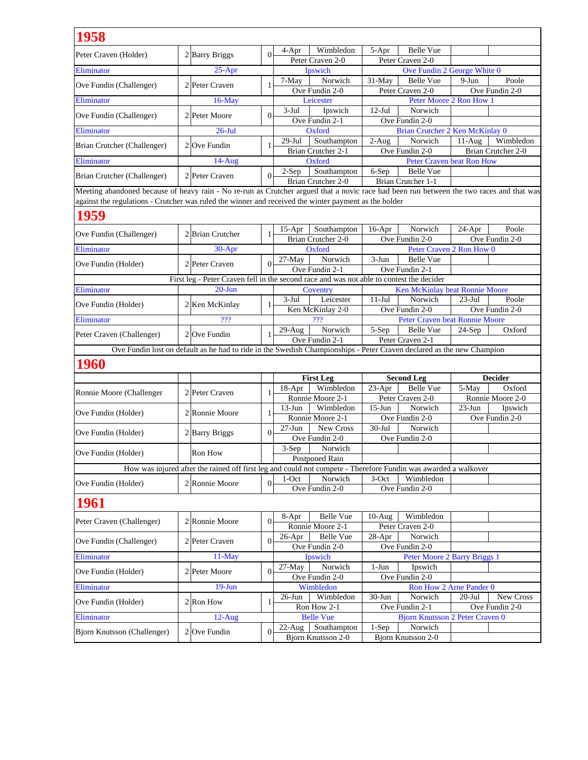| 1958                                                                                                                                     |                  |              |                                                                                          |                                                                                                                       |                                                    |
|------------------------------------------------------------------------------------------------------------------------------------------|------------------|--------------|------------------------------------------------------------------------------------------|-----------------------------------------------------------------------------------------------------------------------|----------------------------------------------------|
| Peter Craven (Holder)                                                                                                                    | 2 Barry Briggs   | $\Omega$     | Wimbledon<br>$4-Apr$                                                                     | Belle Vue<br>5-Apr                                                                                                    |                                                    |
|                                                                                                                                          |                  |              | Peter Craven 2-0                                                                         | Peter Craven 2-0                                                                                                      |                                                    |
| Eliminator                                                                                                                               | $25-Apr$         |              | Ipswich                                                                                  |                                                                                                                       | Ove Fundin 2 George White 0                        |
| Ove Fundin (Challenger)                                                                                                                  | 2 Peter Craven   | $\mathbf{1}$ | Norwich<br>7-May                                                                         | 31-May<br>Belle Vue                                                                                                   | Poole<br>$9-Jun$                                   |
| Eliminator                                                                                                                               | $16$ -May        |              | Ove Fundin 2-0<br>Leicester                                                              | Peter Craven 2-0                                                                                                      | Ove Fundin 2-0<br>Peter Moore 2 Ron How 1          |
|                                                                                                                                          |                  |              | $3-Jul$<br>Ipswich                                                                       | $12-Jul$<br>Norwich                                                                                                   |                                                    |
| Ove Fundin (Challenger)                                                                                                                  | 2 Peter Moore    | $\Omega$     | Ove Fundin 2-1                                                                           | Ove Fundin 2-0                                                                                                        |                                                    |
| Eliminator                                                                                                                               | $26$ -Jul        |              | Oxford                                                                                   |                                                                                                                       | Brian Crutcher 2 Ken McKinlay 0                    |
| Brian Crutcher (Challenger)                                                                                                              | $2$ Ove Fundin   | 1            | $29-Jul$<br>Southampton                                                                  | Norwich<br>$2-Aug$                                                                                                    | Wimbledon<br>$11-Aug$                              |
|                                                                                                                                          |                  |              | Brian Crutcher 2-1                                                                       | Ove Fundin 2-0                                                                                                        | Brian Crutcher 2-0                                 |
| Eliminator                                                                                                                               | $14-Aug$         |              | Oxford                                                                                   |                                                                                                                       | <b>Peter Craven beat Ron How</b>                   |
| Brian Crutcher (Challenger)                                                                                                              | 2 Peter Craven   | $\Omega$     | Southampton<br>$2-Sep$<br>Brian Crutcher 2-0                                             | 6-Sep<br>Belle Vue<br>Brian Crutcher 1-1                                                                              |                                                    |
| Meeting abandoned because of heavy rain - No re-run as Crutcher argued that a novic race had been run between the two races and that was |                  |              |                                                                                          |                                                                                                                       |                                                    |
| against the regulations - Crutcher was ruled the winner and received the winter payment as the holder                                    |                  |              |                                                                                          |                                                                                                                       |                                                    |
| 1959                                                                                                                                     |                  |              |                                                                                          |                                                                                                                       |                                                    |
| Ove Fundin (Challenger)                                                                                                                  | 2 Brian Crutcher | 1            | Southampton<br>$15$ -Apr                                                                 | Norwich<br>$16$ -Apr                                                                                                  | Poole<br>$24-Apr$                                  |
| Eliminator                                                                                                                               |                  |              | Brian Crutcher 2-0<br>Oxford                                                             | Ove Fundin 2-0                                                                                                        | Ove Fundin 2-0<br>Peter Craven 2 Ron How 0         |
|                                                                                                                                          | 30-Apr           |              | $27-Mav$<br>Norwich                                                                      | $3-Jun$<br><b>Belle Vue</b>                                                                                           |                                                    |
| Ove Fundin (Holder)                                                                                                                      | 2 Peter Craven   | $\theta$     | Ove Fundin 2-1                                                                           | Ove Fundin 2-1                                                                                                        |                                                    |
|                                                                                                                                          |                  |              | First leg - Peter Craven fell in the second race and was not able to contest the decider |                                                                                                                       |                                                    |
| Eliminator                                                                                                                               | $20 - Jun$       |              | Coventry                                                                                 |                                                                                                                       | Ken McKinlay beat Ronnie Moore                     |
| Ove Fundin (Holder)                                                                                                                      | 2 Ken McKinlay   | 1            | 3-Jul<br>Leicester                                                                       | $11-Jul$<br>Norwich                                                                                                   | $23-Jul$<br>Poole                                  |
|                                                                                                                                          |                  |              | Ken McKinlay 2-0                                                                         | Ove Fundin 2-0                                                                                                        | Ove Fundin 2-0                                     |
| Eliminator                                                                                                                               | ???              |              | ???                                                                                      |                                                                                                                       | Peter Craven beat Ronnie Moore                     |
| Peter Craven (Challenger)                                                                                                                | $2$ Ove Fundin   | 1            | Norwich<br>$29-Aug$<br>Ove Fundin 2-1                                                    | 5-Sep<br>Belle Vue<br>Peter Craven 2-1                                                                                | Oxford<br>$24-Sep$                                 |
|                                                                                                                                          |                  |              |                                                                                          | Ove Fundin lost on default as he had to ride in the Swedish Championships - Peter Craven declared as the new Champion |                                                    |
|                                                                                                                                          |                  |              |                                                                                          |                                                                                                                       |                                                    |
| <b>1960</b>                                                                                                                              |                  |              |                                                                                          |                                                                                                                       |                                                    |
|                                                                                                                                          |                  |              | <b>First Leg</b>                                                                         | <b>Second Leg</b>                                                                                                     | <b>Decider</b>                                     |
| Ronnie Moore (Challenger                                                                                                                 | 2 Peter Craven   | 1            | Wimbledon<br>18-Apr                                                                      | <b>Belle Vue</b><br>$23-Apr$                                                                                          | 5-May<br>Oxford                                    |
|                                                                                                                                          |                  |              | Ronnie Moore 2-1<br>$13-Jun$<br>Wimbledon                                                | Peter Craven 2-0<br>$15-Jun$<br>Norwich                                                                               | Ronnie Moore 2-0<br>$23-Jun$<br>Ipswich            |
| Ove Fundin (Holder)                                                                                                                      | 2 Ronnie Moore   | 1            | Ronnie Moore 2-1                                                                         | Ove Fundin 2-0                                                                                                        | Ove Fundin 2-0                                     |
|                                                                                                                                          |                  |              | New Cross<br>$27 - Jun$                                                                  | $30-Jul$<br>Norwich                                                                                                   |                                                    |
| Ove Fundin (Holder)                                                                                                                      | 2 Barry Briggs   | $\Omega$     | Ove Fundin 2-0                                                                           | Ove Fundin 2-0                                                                                                        |                                                    |
| Ove Fundin (Holder)                                                                                                                      | Ron How          |              | $3-Sep$<br>Norwich                                                                       |                                                                                                                       |                                                    |
|                                                                                                                                          |                  |              | Postponed Rain                                                                           |                                                                                                                       |                                                    |
|                                                                                                                                          |                  |              |                                                                                          | How was injured after the rained off first leg and could not compete - Therefore Fundin was awarded a walkover        |                                                    |
| Ove Fundin (Holder)                                                                                                                      | 2 Ronnie Moore   | $\theta$     | Norwich<br>$1-Oct$<br>Ove Fundin 2-0                                                     | $3-Oct$<br>Wimbledon<br>Ove Fundin 2-0                                                                                |                                                    |
| <b>1961</b>                                                                                                                              |                  |              |                                                                                          |                                                                                                                       |                                                    |
|                                                                                                                                          |                  |              | <b>Belle Vue</b>                                                                         |                                                                                                                       |                                                    |
| Peter Craven (Challenger)                                                                                                                | 2 Ronnie Moore   | $\Omega$     | 8-Apr<br>Ronnie Moore 2-1                                                                | Wimbledon<br>$10-Aug$<br>Peter Craven 2-0                                                                             |                                                    |
|                                                                                                                                          |                  | $\Omega$     | Belle Vue<br>$26$ -Apr                                                                   | Norwich<br>$28-Apr$                                                                                                   |                                                    |
| Ove Fundin (Challenger)                                                                                                                  | 2 Peter Craven   |              | Ove Fundin 2-0                                                                           | Ove Fundin 2-0                                                                                                        |                                                    |
| Eliminator                                                                                                                               | $11-May$         |              | Ipswich                                                                                  |                                                                                                                       | Peter Moore 2 Barry Briggs 1                       |
| Ove Fundin (Holder)                                                                                                                      | 2 Peter Moore    | $\theta$     | $27-May$<br>Norwich                                                                      | $1-Jun$<br>Ipswich                                                                                                    |                                                    |
|                                                                                                                                          |                  |              | Ove Fundin 2-0                                                                           | Ove Fundin 2-0                                                                                                        |                                                    |
| Eliminator                                                                                                                               | $19-Jun$         |              | Wimbledon<br>Wimbledon<br>$26$ -Jun                                                      | $30 - Jun$<br>Norwich                                                                                                 | Ron How 2 Arne Pander 0<br>New Cross<br>$20 -$ Jul |
| Ove Fundin (Holder)                                                                                                                      | $2$ Ron How      | -1           |                                                                                          | Ove Fundin 2-1                                                                                                        | Ove Fundin 2-0                                     |
|                                                                                                                                          |                  |              |                                                                                          |                                                                                                                       |                                                    |
| Eliminator                                                                                                                               | 12-Aug           |              | Ron How 2-1<br><b>Belle Vue</b>                                                          |                                                                                                                       | <b>Bjorn Knutsson 2 Peter Craven 0</b>             |
| Bjorn Knutsson (Challenger)                                                                                                              | $2$ Ove Fundin   | $\theta$     | $22$ -Aug<br>Southampton                                                                 | $1-Sep$<br>Norwich                                                                                                    |                                                    |